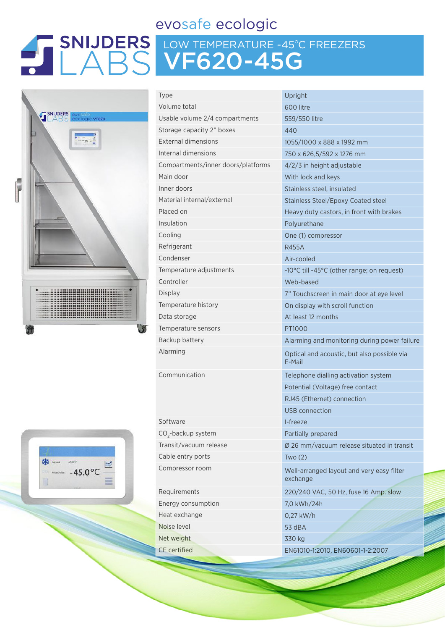### evosafe ecologic

# LOW TEMPERATURE -45ºC FREEZERS VF620-45G



| <b>Type</b>                        | Upright                                               |  |  |
|------------------------------------|-------------------------------------------------------|--|--|
| Volume total                       | 600 litre                                             |  |  |
| Usable volume 2/4 compartments     | 559/550 litre                                         |  |  |
| Storage capacity 2" boxes          | 440                                                   |  |  |
| <b>External dimensions</b>         | 1055/1000 x 888 x 1992 mm                             |  |  |
| Internal dimensions                | 750 x 626,5/592 x 1276 mm                             |  |  |
| Compartments/inner doors/platforms | $4/2/3$ in height adjustable                          |  |  |
| Main door                          | With lock and keys                                    |  |  |
| Inner doors                        | Stainless steel, insulated                            |  |  |
| Material internal/external         | Stainless Steel/Epoxy Coated steel                    |  |  |
| Placed on                          | Heavy duty castors, in front with brakes              |  |  |
| Insulation                         | Polyurethane                                          |  |  |
| Cooling                            | One (1) compressor                                    |  |  |
| Refrigerant                        | <b>R455A</b>                                          |  |  |
| Condenser                          | Air-cooled                                            |  |  |
| Temperature adjustments            | -10°C till -45°C (other range; on request)            |  |  |
| Controller                         | Web-based                                             |  |  |
| <b>Display</b>                     | 7" Touchscreen in main door at eye level              |  |  |
| Temperature history                | On display with scroll function                       |  |  |
| Data storage                       | At least 12 months                                    |  |  |
| Temperature sensors                | PT1000                                                |  |  |
| Backup battery                     | Alarming and monitoring during power f                |  |  |
| Alarming                           | Optical and acoustic, but also possible vi<br>E-Mail  |  |  |
| Communication                      | Telephone dialling activation system                  |  |  |
|                                    | Potential (Voltage) free contact                      |  |  |
|                                    | RJ45 (Ethernet) connection                            |  |  |
|                                    | <b>USB</b> connection                                 |  |  |
| Software                           | I-freeze                                              |  |  |
| CO <sub>2</sub> -backup system     | Partially prepared                                    |  |  |
| Transit/vacuum release             | Ø 26 mm/vacuum release situated in trai               |  |  |
| Cable entry ports                  | Two(2)                                                |  |  |
| Compressor room                    | Well-arranged layout and very easy filter<br>exchange |  |  |
| Requirements                       | 220/240 VAC, 50 Hz, fuse 16 Amp. slow                 |  |  |
| Energy consumption                 | 7,0 kWh/24h                                           |  |  |
| Heat exchange                      | 0,27 kW/h                                             |  |  |

 $592 \times 1276$  mm I. insulated I/Epoxy Coated steel astors, in front with brakes monitoring during power failure coustic, but also possible via alling activation system Itage) free contact et) connection on tuum release situated in transit d layout and very easy filter Bo Hz, fuse 16 Amp. slow Noise level 53 dBA Net weight 330 kg CE certified EN61010-1:2010, EN60601-1-2:2007